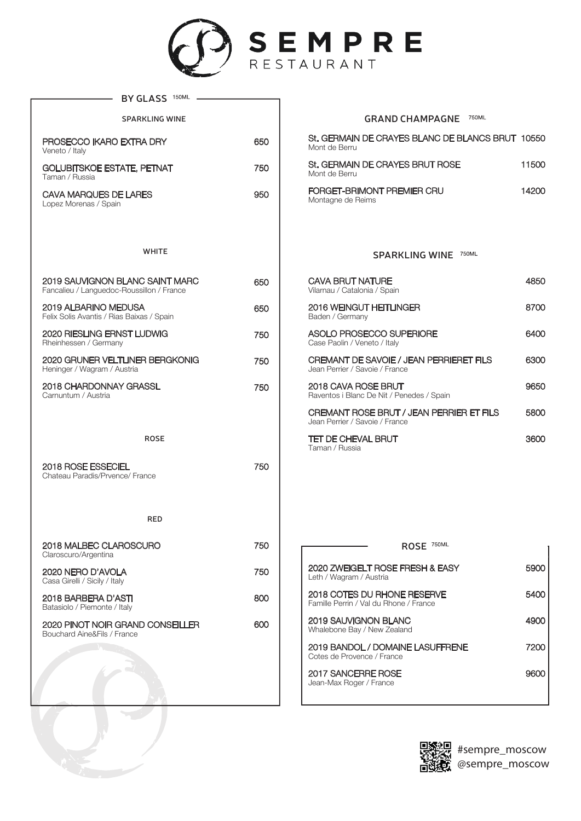

| 150ML<br><b>BY GLASS</b>                                                     |     |
|------------------------------------------------------------------------------|-----|
| <b>SPARKLING WINE</b>                                                        |     |
| PROSECCO IKARO EXTRA DRY<br>Veneto / Italy                                   | 650 |
| <b>GOLUBITSKOE ESTATE, PETNAT</b><br>Taman / Russia                          | 750 |
| <b>CAVA MARQUES DE LARES</b><br>Lopez Morenas / Spain                        | 950 |
| <b>WHITE</b>                                                                 |     |
|                                                                              |     |
| 2019 SAUVIGNON BLANC SAINT MARC<br>Fancalieu / Languedoc-Roussillon / France | 650 |
| 2019 ALBARINO MEDUSA<br>Felix Solis Avantis / Rias Baixas / Spain            | 650 |
| <b>2020 RIESLING ERNST LUDWIG</b><br>Rheinhessen / Germany                   | 750 |
| 2020 GRUNER VELTLINER BERGKONIG<br>Heninger / Wagram / Austria               | 750 |
| 2018 CHARDONNAY GRASSL<br>Carnuntum / Austria                                | 750 |
|                                                                              |     |
|                                                                              |     |
| <b>ROSE</b>                                                                  |     |
| 2018 ROSE ESSECIEL<br>Chateau Paradis/Prvence/ France                        | 750 |
|                                                                              |     |
| RED                                                                          |     |
| 2018 MALBEC CLAROSCURO<br>Claroscuro/Argentina                               | 750 |
| 2020 NERO D'AVOLA<br>Casa Girelli / Sicily / Italy                           | 750 |
| 2018 BARBERA D'ASTI<br>Batasiolo / Piemonte / Italy                          | 800 |
| 2020 PINOT NOIR GRAND CONSEILLER<br>Bouchard Aine&Fils / France              | 600 |
|                                                                              |     |
|                                                                              |     |

## **GRAND CHAMPAGNE**

| St. GERMAIN DE CRAYES BLANC DE BLANCS BRUT 10550<br>Mont de Berru |       |
|-------------------------------------------------------------------|-------|
| St. GERMAIN DE CRAYES BRUT ROSE<br>Mont de Berru                  | 11500 |
| FORGET-BRIMONT PREMIER CRU<br>Montagne de Reims                   | 14200 |

**SPARKLING WINE**

| CAVA BRUT NATURE<br>Vilarnau / Catalonia / Spain                           | 4850 |
|----------------------------------------------------------------------------|------|
| 2016 WEINGUT HEITLINGER<br>Baden / Germany                                 | 8700 |
| ASOLO PROSECCO SUPERIORE<br>Case Paolin / Veneto / Italy                   | 6400 |
| CREMANT DE SAVOIE / JEAN PERRIERET FILS<br>Jean Perrier / Savoie / France  | 6300 |
| 2018 CAVA ROSE BRUT<br>Raventos i Blanc De Nit / Penedes / Spain           | 9650 |
| CREMANT ROSE BRUT / JEAN PERRIER ET FILS<br>Jean Perrier / Savoie / France | 5800 |
| TET DE CHEVAL BRUT<br>Taman / Russia                                       | 360  |

| 750ML<br>ROSE                                                         |      |
|-----------------------------------------------------------------------|------|
| 2020 ZWEIGELT ROSE FRESH & EASY<br>Leth / Wagram / Austria            | 5900 |
| 2018 COTES DU RHONE RESERVE<br>Famille Perrin / Val du Rhone / France | 5400 |
| 2019 SAUVIGNON BLANC<br>Whalebone Bay / New Zealand                   | 4900 |
| 2019 BANDOL / DOMAINE LASUFFRENE<br>Cotes de Provence / France        | 7200 |
| <b>2017 SANCERRE ROSE</b><br>Jean-Max Roger / France                  | 960  |